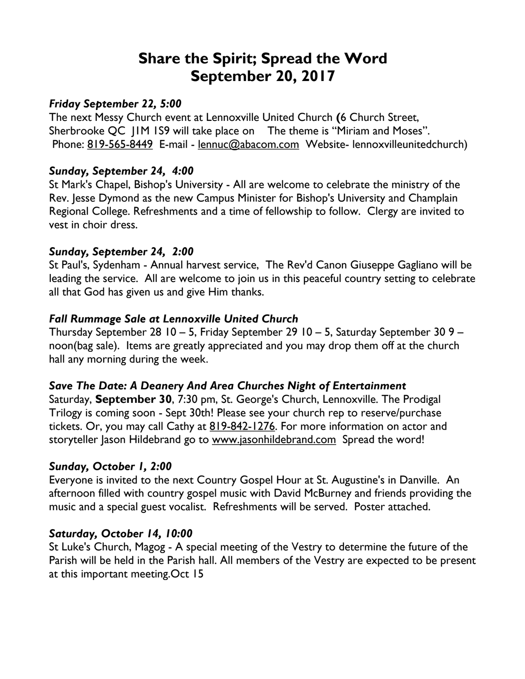# **Share the Spirit; Spread the Word September 20, 2017**

#### *Friday September 22, 5:00*

The next Messy Church event at Lennoxville United Church **(**6 Church Street, Sherbrooke QC J1M 1S9 will take place on The theme is "Miriam and Moses". Phone: 819-565-8449 E-mail - lennuc@abacom.com Website- lennoxvilleunitedchurch)

#### *Sunday, September 24, 4:00*

St Mark's Chapel, Bishop's University - All are welcome to celebrate the ministry of the Rev. Jesse Dymond as the new Campus Minister for Bishop's University and Champlain Regional College. Refreshments and a time of fellowship to follow. Clergy are invited to vest in choir dress.

#### *Sunday, September 24, 2:00*

St Paul's, Sydenham - Annual harvest service, The Rev'd Canon Giuseppe Gagliano will be leading the service. All are welcome to join us in this peaceful country setting to celebrate all that God has given us and give Him thanks.

## *Fall Rummage Sale at Lennoxville United Church*

Thursday September 28 10 – 5, Friday September 29 10 – 5, Saturday September 30 9 – noon(bag sale). Items are greatly appreciated and you may drop them off at the church hall any morning during the week.

## *Save The Date: A Deanery And Area Churches Night of Entertainment*

Saturday, **September 30**, 7:30 pm, St. George's Church, Lennoxville. The Prodigal Trilogy is coming soon - Sept 30th! Please see your church rep to reserve/purchase tickets. Or, you may call Cathy at 819-842-1276. For more information on actor and storyteller Jason Hildebrand go to www.jasonhildebrand.com Spread the word!

## *Sunday, October 1, 2:00*

Everyone is invited to the next Country Gospel Hour at St. Augustine's in Danville. An afternoon filled with country gospel music with David McBurney and friends providing the music and a special guest vocalist. Refreshments will be served. Poster attached.

#### *Saturday, October 14, 10:00*

St Luke's Church, Magog - A special meeting of the Vestry to determine the future of the Parish will be held in the Parish hall. All members of the Vestry are expected to be present at this important meeting.Oct 15